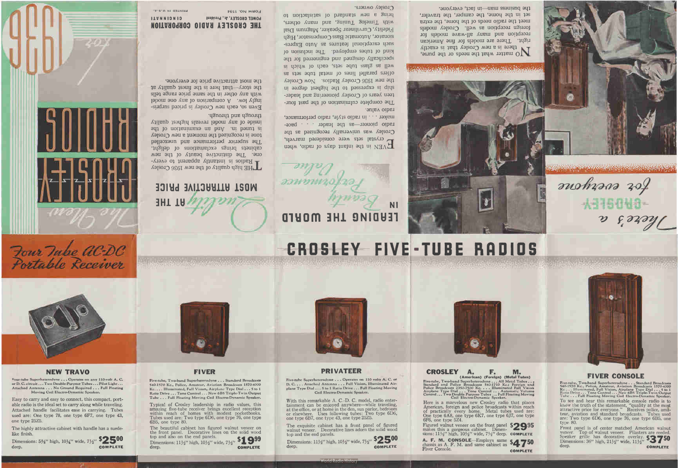**COMPLETE** deep.

one type 25Z5.

Dimensions: 5%" high,  $10\frac{1}{4}$ " wide,  $7\frac{1}{2}$ " \$2500

The highly attractive cabinet with handle has a suedelike finish.

**NEW TRAVO** 

Four-tube Superheterodyne . . . Operates on any 110-volt A. C.

or D. C. circuit ... Two Double-Purpose Tubes ... Pilot Light ...

Attached Antenna . . . No Ground Required . . . Full Floating

Easy to carry and easy to connect, this compact, port-

able radio is the ideal set to carry along while traveling.

Attached handle facilitates ease in carrying. Tubes used are: One type 78, one type 6F7, one type 43,

Moving Coil Electro-Dynamic Speaker.

Ratio Drive . . . Tone Control . . . New 6B5 Triple-Twin Output Tube . . . Full Floating Moving Coil Electro-Dynamic Speaker. Typical of Crosley leadership in radio values, this amazing five-tube receiver brings excellent reception within reach of homes with modest pocketbooks.

6B5, one type 80.

deep.

top and also on the end panels.

Tubes used are: Two type 6D6, one type 76, one type

The beautiful cabinet has figured walnut veneer on the front panel. Decorative lines on the solid wood

Dimensions:  $11\frac{1}{2}$ " high,  $10\frac{1}{2}$ " wide,  $7\frac{1}{2}$ " \$199

**FIVER** 



**COMPLETE** 



**PRIVATEER** 

Five-tube Superheterodyne . . . Operates on 110 volts A. C. or<br>D. C. . . . Attached Antenna . . . Full Vision, Illuminated Air-

plane Type Dial . . . 5 to 1 Ratio Drive . . . Full Floating Moving

Coil Electro-Dynamic Speaker.

With this remarkable A. C.-D. C. model, radio enter-

tainment can be enjoyed anywhere—while traveling,<br>at the office, or at home in the den, sun parlor, bedroom<br>or elsewhere. Uses following tubes: Two type 6D6,

The exquisite cabinet has a front panel of figured

walnut veneer. Decorative lines adorn the solid wood

Dimensions: 111/2" high, 101/2" wide, 71/2" \$2500

orld Radio History

**COMPLETE** 

one type 6B7, one type 43, one type 25Z5.

top and the end panels.

deep.



CROSLEY A.

6F6, one type 5Z4.

Fiver Console.

# CROSLEY FIVE-TUBE RADIOS

かねやがほん



Four Tube aC-DC

Portable Receiver

# MOST ATTRACTIVE PRICE **HT THE**

through and through. viisude of any model reveals highest quality st tuned in. And an examination of the tone is recognized the moment a new Crosley The superior performance and unexcelled cabinets brings exclamations of delight. one. The distinctive beauty of the new - Radios is instantly apparent to every-THE high quality of the new 1936 Crosley

the most attractive price ior everyone. the story—that here is the finest quality at with any other in the same price range tells labom and y and in any one model Even so, each new Crosley is priced surpris-

V'S'A NI GELNIN **FORM NO. 1594 CINCINNATI** POWEL CROSLEY, Jr., President **IHE CBOSTEX BVDIO COBLOBVIION** 

> **NI CENDING THE WORLD**

maker . . . in radio style, radio periormance, radio pioneer-as the leader . . . pace-Crosley was universally recognized as the L'erystal sets were considered marvels, TVEN in the infant days of radio, when

Crosley owners. of noitonlains lo brabnate wan a gnind with Timelog Tuning, and many others, Fidelity, Curvilinear Speaker, Magnum Dial sionator, Automatic Bass Compensator, High such exceptional features as Auto Expreskind of tubes employed. The inclusion of specifically designed and engineered for the well as glass tube sets, each of which is offers parallel lines of metal tube sets as the new 1936 Crosley Radios. Now Crosley ship is expressed to the highest degree in teen years of Crosley pioneering and leader-The complete culmination of the past fourradio value.



the business man—in fact, everyone. set in the home, the camper, the traveler, meet the radio needs of the home, the extra foreign reception as well. Crosley models reception and many all-wave models for right. There are models for fine American WO matter what the needs or the purse,<br>there is a mew Crosley that is exactly

> F. M,

(Andream) (Feelen) (Metal Tubes)<br>
Five-tube, Two-band Superheterodyne ... All Metal Tubes)<br>
Standard and Police Broadcasts 540-1710 Kc.; Foreign and<br>
Police Broadcasts 5350-7500 Kc. ... Illuminated Full Vision<br>
Airplane Ty

Here is a marvelous new Crosley radio that places American, foreign and police broadcasts within reach<br>of practically every home. Metal tubes used are:<br>One type 6A8, one type 6K7, one type 6J7, one type



**COMPLETE** 

### **FIVER CONSOLE**

for averyone

There's a

Five-tube, Two-band Superheterodyne... Standard Broadcasts<br>540-1570 Ke., Police, Amateur, Aviation Broadcasts 1570-4000<br>Ke... Illuminated, Full Vision, Airplane Type Dial... 5 to 1<br>Ratio Drive... Tone Control... New 6B5 Tr To see and hear this remarkable console radio is to know the truth of the statement, "quality at the most attractive price for everyone." Receives police, amateur, aviation and standard broadcasts. Tubes used are: Two type 6D6, one type 76, one type 6B5, one type 80.

Front panel is of center matched American walnut veneer. Top of walnut veneer. Pilasters are reeded. Speaker grille has decorative overlay. \$3750 Dimensions: 36" high, 211/2" wide, 111/2" deep. **COMPLETE**